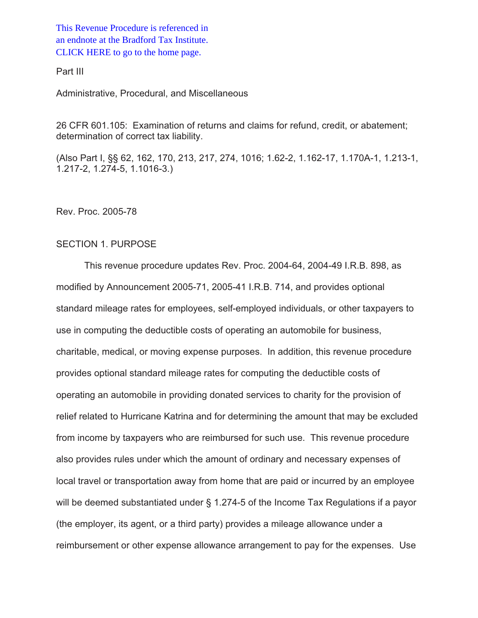This Revenue Procedure is referenced in [an endnote at the Bradford Tax Institute.](http://www.bradfordtaxinstitute.com/)  CLICK HERE to go to the home page.

Part III

Administrative, Procedural, and Miscellaneous

26 CFR 601.105: Examination of returns and claims for refund, credit, or abatement; determination of correct tax liability.

(Also Part I, §§ 62, 162, 170, 213, 217, 274, 1016; 1.62-2, 1.162-17, 1.170A-1, 1.213-1, 1.217-2, 1.274-5, 1.1016-3.)

Rev. Proc. 2005-78

# SECTION 1. PURPOSE

This revenue procedure updates Rev. Proc. 2004-64, 2004-49 I.R.B. 898, as modified by Announcement 2005-71, 2005-41 I.R.B. 714, and provides optional standard mileage rates for employees, self-employed individuals, or other taxpayers to use in computing the deductible costs of operating an automobile for business, charitable, medical, or moving expense purposes. In addition, this revenue procedure provides optional standard mileage rates for computing the deductible costs of operating an automobile in providing donated services to charity for the provision of relief related to Hurricane Katrina and for determining the amount that may be excluded from income by taxpayers who are reimbursed for such use. This revenue procedure also provides rules under which the amount of ordinary and necessary expenses of local travel or transportation away from home that are paid or incurred by an employee will be deemed substantiated under § 1.274-5 of the Income Tax Regulations if a payor (the employer, its agent, or a third party) provides a mileage allowance under a reimbursement or other expense allowance arrangement to pay for the expenses. Use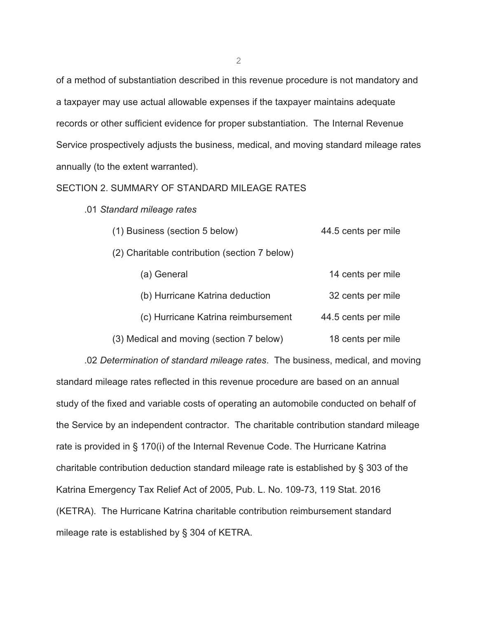of a method of substantiation described in this revenue procedure is not mandatory and a taxpayer may use actual allowable expenses if the taxpayer maintains adequate records or other sufficient evidence for proper substantiation. The Internal Revenue Service prospectively adjusts the business, medical, and moving standard mileage rates annually (to the extent warranted).

### SECTION 2. SUMMARY OF STANDARD MILEAGE RATES

.01 *Standard mileage rates*

| (1) Business (section 5 below)                | 44.5 cents per mile |
|-----------------------------------------------|---------------------|
| (2) Charitable contribution (section 7 below) |                     |
| (a) General                                   | 14 cents per mile   |
| (b) Hurricane Katrina deduction               | 32 cents per mile   |
| (c) Hurricane Katrina reimbursement           | 44.5 cents per mile |
| (3) Medical and moving (section 7 below)      | 18 cents per mile   |

.02 *Determination of standard mileage rates*. The business, medical, and moving standard mileage rates reflected in this revenue procedure are based on an annual study of the fixed and variable costs of operating an automobile conducted on behalf of the Service by an independent contractor. The charitable contribution standard mileage rate is provided in § 170(i) of the Internal Revenue Code. The Hurricane Katrina charitable contribution deduction standard mileage rate is established by § 303 of the Katrina Emergency Tax Relief Act of 2005, Pub. L. No. 109-73, 119 Stat. 2016 (KETRA). The Hurricane Katrina charitable contribution reimbursement standard mileage rate is established by § 304 of KETRA.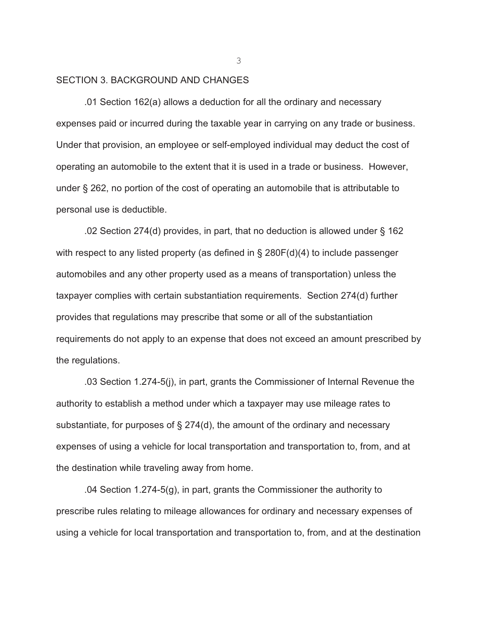#### SECTION 3. BACKGROUND AND CHANGES

.01 Section 162(a) allows a deduction for all the ordinary and necessary expenses paid or incurred during the taxable year in carrying on any trade or business. Under that provision, an employee or self-employed individual may deduct the cost of operating an automobile to the extent that it is used in a trade or business. However, under § 262, no portion of the cost of operating an automobile that is attributable to personal use is deductible.

.02 Section 274(d) provides, in part, that no deduction is allowed under § 162 with respect to any listed property (as defined in § 280F(d)(4) to include passenger automobiles and any other property used as a means of transportation) unless the taxpayer complies with certain substantiation requirements. Section 274(d) further provides that regulations may prescribe that some or all of the substantiation requirements do not apply to an expense that does not exceed an amount prescribed by the regulations.

.03 Section 1.274-5(j), in part, grants the Commissioner of Internal Revenue the authority to establish a method under which a taxpayer may use mileage rates to substantiate, for purposes of § 274(d), the amount of the ordinary and necessary expenses of using a vehicle for local transportation and transportation to, from, and at the destination while traveling away from home.

.04 Section 1.274-5(g), in part, grants the Commissioner the authority to prescribe rules relating to mileage allowances for ordinary and necessary expenses of using a vehicle for local transportation and transportation to, from, and at the destination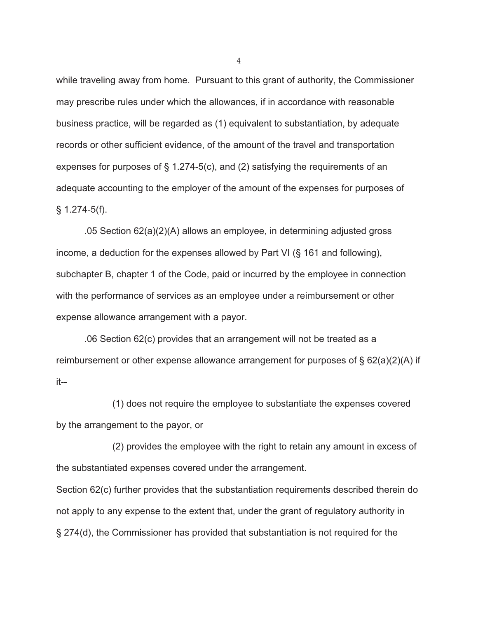while traveling away from home. Pursuant to this grant of authority, the Commissioner may prescribe rules under which the allowances, if in accordance with reasonable business practice, will be regarded as (1) equivalent to substantiation, by adequate records or other sufficient evidence, of the amount of the travel and transportation expenses for purposes of § 1.274-5(c), and (2) satisfying the requirements of an adequate accounting to the employer of the amount of the expenses for purposes of  $§ 1.274-5(f).$ 

.05 Section 62(a)(2)(A) allows an employee, in determining adjusted gross income, a deduction for the expenses allowed by Part VI (§ 161 and following), subchapter B, chapter 1 of the Code, paid or incurred by the employee in connection with the performance of services as an employee under a reimbursement or other expense allowance arrangement with a payor.

.06 Section 62(c) provides that an arrangement will not be treated as a reimbursement or other expense allowance arrangement for purposes of § 62(a)(2)(A) if it--

(1) does not require the employee to substantiate the expenses covered by the arrangement to the payor, or

(2) provides the employee with the right to retain any amount in excess of the substantiated expenses covered under the arrangement.

Section 62(c) further provides that the substantiation requirements described therein do not apply to any expense to the extent that, under the grant of regulatory authority in § 274(d), the Commissioner has provided that substantiation is not required for the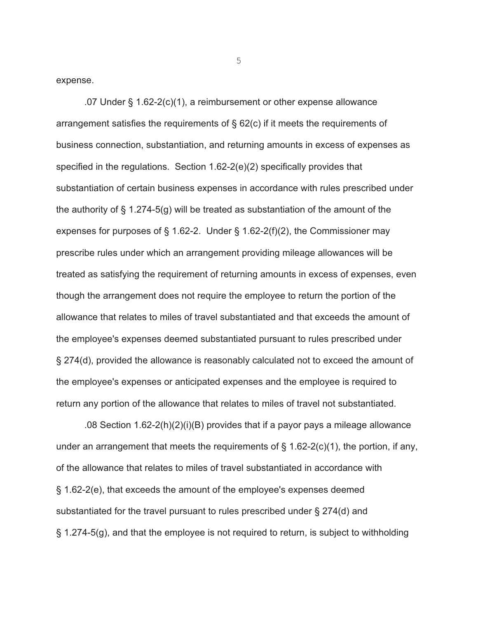expense.

.07 Under § 1.62-2(c)(1), a reimbursement or other expense allowance arrangement satisfies the requirements of § 62(c) if it meets the requirements of business connection, substantiation, and returning amounts in excess of expenses as specified in the regulations. Section 1.62-2(e)(2) specifically provides that substantiation of certain business expenses in accordance with rules prescribed under the authority of § 1.274-5(g) will be treated as substantiation of the amount of the expenses for purposes of  $\S$  1.62-2. Under  $\S$  1.62-2(f)(2), the Commissioner may prescribe rules under which an arrangement providing mileage allowances will be treated as satisfying the requirement of returning amounts in excess of expenses, even though the arrangement does not require the employee to return the portion of the allowance that relates to miles of travel substantiated and that exceeds the amount of the employee's expenses deemed substantiated pursuant to rules prescribed under § 274(d), provided the allowance is reasonably calculated not to exceed the amount of the employee's expenses or anticipated expenses and the employee is required to return any portion of the allowance that relates to miles of travel not substantiated.

.08 Section 1.62-2(h)(2)(i)(B) provides that if a payor pays a mileage allowance under an arrangement that meets the requirements of  $\S$  1.62-2(c)(1), the portion, if any, of the allowance that relates to miles of travel substantiated in accordance with § 1.62-2(e), that exceeds the amount of the employee's expenses deemed substantiated for the travel pursuant to rules prescribed under § 274(d) and § 1.274-5(g), and that the employee is not required to return, is subject to withholding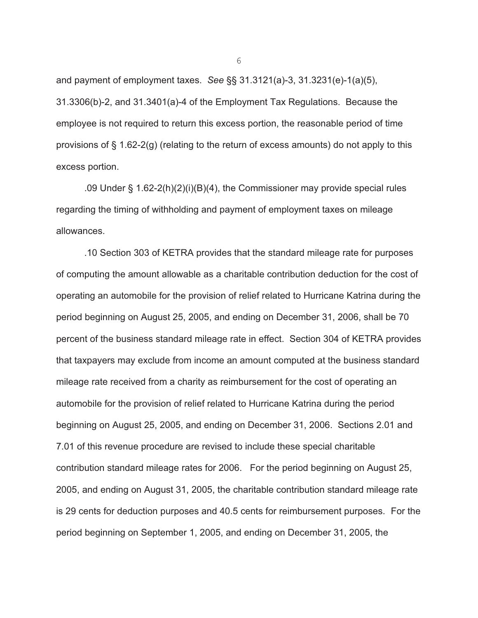and payment of employment taxes. *See* §§ 31.3121(a)-3, 31.3231(e)-1(a)(5), 31.3306(b)-2, and 31.3401(a)-4 of the Employment Tax Regulations. Because the employee is not required to return this excess portion, the reasonable period of time provisions of § 1.62-2(g) (relating to the return of excess amounts) do not apply to this excess portion.

.09 Under § 1.62-2(h)(2)(i)(B)(4), the Commissioner may provide special rules regarding the timing of withholding and payment of employment taxes on mileage allowances.

 .10 Section 303 of KETRA provides that the standard mileage rate for purposes of computing the amount allowable as a charitable contribution deduction for the cost of operating an automobile for the provision of relief related to Hurricane Katrina during the period beginning on August 25, 2005, and ending on December 31, 2006, shall be 70 percent of the business standard mileage rate in effect. Section 304 of KETRA provides that taxpayers may exclude from income an amount computed at the business standard mileage rate received from a charity as reimbursement for the cost of operating an automobile for the provision of relief related to Hurricane Katrina during the period beginning on August 25, 2005, and ending on December 31, 2006. Sections 2.01 and 7.01 of this revenue procedure are revised to include these special charitable contribution standard mileage rates for 2006. For the period beginning on August 25, 2005, and ending on August 31, 2005, the charitable contribution standard mileage rate is 29 cents for deduction purposes and 40.5 cents for reimbursement purposes. For the period beginning on September 1, 2005, and ending on December 31, 2005, the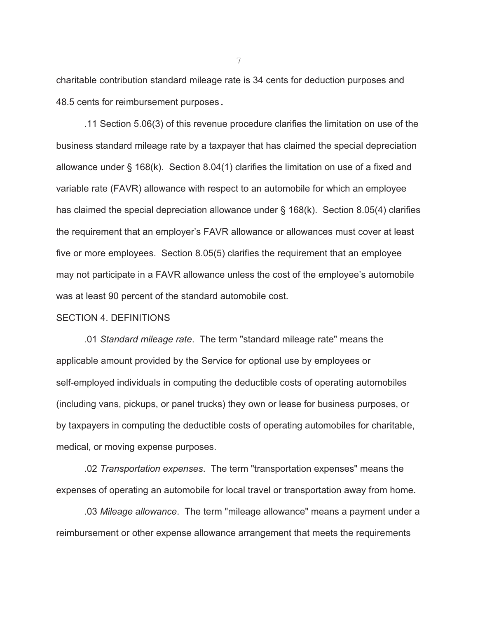charitable contribution standard mileage rate is 34 cents for deduction purposes and 48.5 cents for reimbursement purposes.

.11 Section 5.06(3) of this revenue procedure clarifies the limitation on use of the business standard mileage rate by a taxpayer that has claimed the special depreciation allowance under § 168(k). Section 8.04(1) clarifies the limitation on use of a fixed and variable rate (FAVR) allowance with respect to an automobile for which an employee has claimed the special depreciation allowance under § 168(k). Section 8.05(4) clarifies the requirement that an employer's FAVR allowance or allowances must cover at least five or more employees. Section 8.05(5) clarifies the requirement that an employee may not participate in a FAVR allowance unless the cost of the employee's automobile was at least 90 percent of the standard automobile cost.

#### SECTION 4. DEFINITIONS

.01 *Standard mileage rate*. The term "standard mileage rate" means the applicable amount provided by the Service for optional use by employees or self-employed individuals in computing the deductible costs of operating automobiles (including vans, pickups, or panel trucks) they own or lease for business purposes, or by taxpayers in computing the deductible costs of operating automobiles for charitable, medical, or moving expense purposes.

.02 *Transportation expenses*. The term "transportation expenses" means the expenses of operating an automobile for local travel or transportation away from home.

.03 *Mileage allowance*. The term "mileage allowance" means a payment under a reimbursement or other expense allowance arrangement that meets the requirements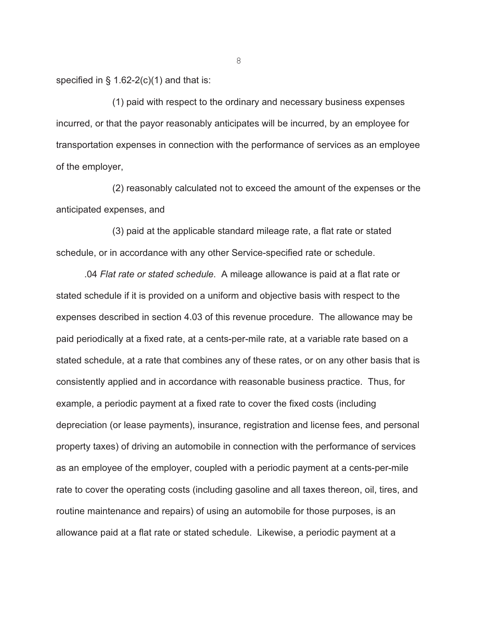specified in  $\S$  1.62-2(c)(1) and that is:

(1) paid with respect to the ordinary and necessary business expenses incurred, or that the payor reasonably anticipates will be incurred, by an employee for transportation expenses in connection with the performance of services as an employee of the employer,

(2) reasonably calculated not to exceed the amount of the expenses or the anticipated expenses, and

(3) paid at the applicable standard mileage rate, a flat rate or stated schedule, or in accordance with any other Service-specified rate or schedule.

.04 *Flat rate or stated schedule*. A mileage allowance is paid at a flat rate or stated schedule if it is provided on a uniform and objective basis with respect to the expenses described in section 4.03 of this revenue procedure. The allowance may be paid periodically at a fixed rate, at a cents-per-mile rate, at a variable rate based on a stated schedule, at a rate that combines any of these rates, or on any other basis that is consistently applied and in accordance with reasonable business practice. Thus, for example, a periodic payment at a fixed rate to cover the fixed costs (including depreciation (or lease payments), insurance, registration and license fees, and personal property taxes) of driving an automobile in connection with the performance of services as an employee of the employer, coupled with a periodic payment at a cents-per-mile rate to cover the operating costs (including gasoline and all taxes thereon, oil, tires, and routine maintenance and repairs) of using an automobile for those purposes, is an allowance paid at a flat rate or stated schedule. Likewise, a periodic payment at a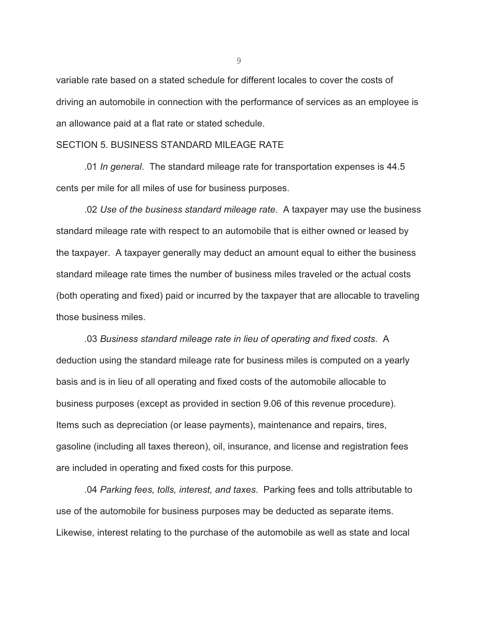variable rate based on a stated schedule for different locales to cover the costs of driving an automobile in connection with the performance of services as an employee is an allowance paid at a flat rate or stated schedule.

#### SECTION 5. BUSINESS STANDARD MILEAGE RATE

.01 *In general*. The standard mileage rate for transportation expenses is 44.5 cents per mile for all miles of use for business purposes.

.02 *Use of the business standard mileage rate*. A taxpayer may use the business standard mileage rate with respect to an automobile that is either owned or leased by the taxpayer. A taxpayer generally may deduct an amount equal to either the business standard mileage rate times the number of business miles traveled or the actual costs (both operating and fixed) paid or incurred by the taxpayer that are allocable to traveling those business miles.

.03 *Business standard mileage rate in lieu of operating and fixed costs*. A deduction using the standard mileage rate for business miles is computed on a yearly basis and is in lieu of all operating and fixed costs of the automobile allocable to business purposes (except as provided in section 9.06 of this revenue procedure). Items such as depreciation (or lease payments), maintenance and repairs, tires, gasoline (including all taxes thereon), oil, insurance, and license and registration fees are included in operating and fixed costs for this purpose.

.04 *Parking fees, tolls, interest, and taxes*. Parking fees and tolls attributable to use of the automobile for business purposes may be deducted as separate items. Likewise, interest relating to the purchase of the automobile as well as state and local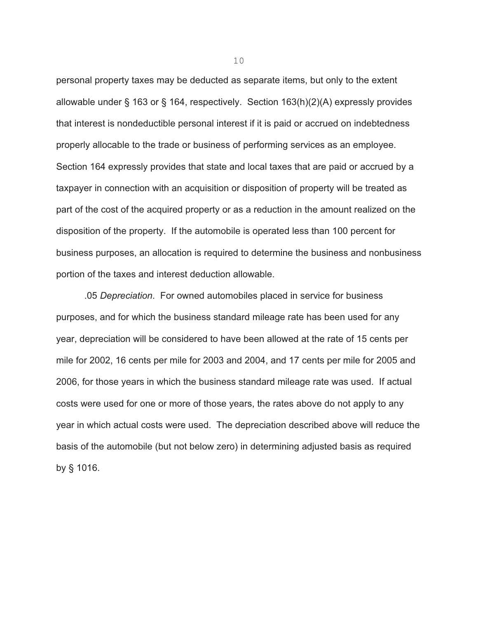personal property taxes may be deducted as separate items, but only to the extent allowable under § 163 or § 164, respectively. Section 163(h)(2)(A) expressly provides that interest is nondeductible personal interest if it is paid or accrued on indebtedness properly allocable to the trade or business of performing services as an employee. Section 164 expressly provides that state and local taxes that are paid or accrued by a taxpayer in connection with an acquisition or disposition of property will be treated as part of the cost of the acquired property or as a reduction in the amount realized on the disposition of the property. If the automobile is operated less than 100 percent for business purposes, an allocation is required to determine the business and nonbusiness portion of the taxes and interest deduction allowable.

.05 *Depreciation*. For owned automobiles placed in service for business purposes, and for which the business standard mileage rate has been used for any year, depreciation will be considered to have been allowed at the rate of 15 cents per mile for 2002, 16 cents per mile for 2003 and 2004, and 17 cents per mile for 2005 and 2006, for those years in which the business standard mileage rate was used. If actual costs were used for one or more of those years, the rates above do not apply to any year in which actual costs were used. The depreciation described above will reduce the basis of the automobile (but not below zero) in determining adjusted basis as required by § 1016.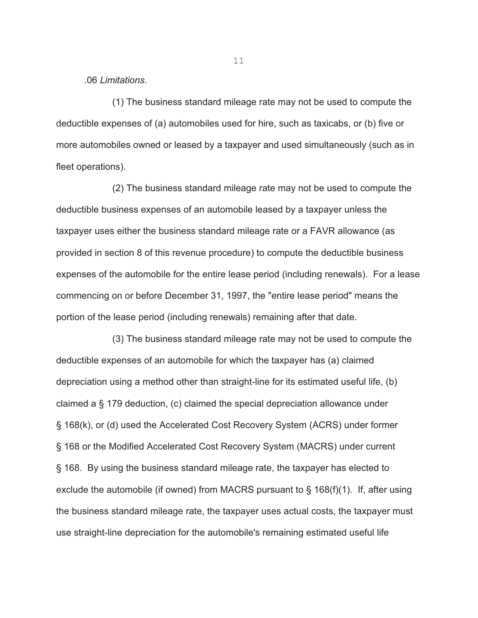.06 *Limitations*.

(1) The business standard mileage rate may not be used to compute the deductible expenses of (a) automobiles used for hire, such as taxicabs, or (b) five or more automobiles owned or leased by a taxpayer and used simultaneously (such as in fleet operations).

(2) The business standard mileage rate may not be used to compute the deductible business expenses of an automobile leased by a taxpayer unless the taxpayer uses either the business standard mileage rate or a FAVR allowance (as provided in section 8 of this revenue procedure) to compute the deductible business expenses of the automobile for the entire lease period (including renewals). For a lease commencing on or before December 31, 1997, the "entire lease period" means the portion of the lease period (including renewals) remaining after that date.

(3) The business standard mileage rate may not be used to compute the deductible expenses of an automobile for which the taxpayer has (a) claimed depreciation using a method other than straight-line for its estimated useful life, (b) claimed a § 179 deduction, (c) claimed the special depreciation allowance under § 168(k), or (d) used the Accelerated Cost Recovery System (ACRS) under former § 168 or the Modified Accelerated Cost Recovery System (MACRS) under current § 168. By using the business standard mileage rate, the taxpayer has elected to exclude the automobile (if owned) from MACRS pursuant to § 168(f)(1). If, after using the business standard mileage rate, the taxpayer uses actual costs, the taxpayer must use straight-line depreciation for the automobile's remaining estimated useful life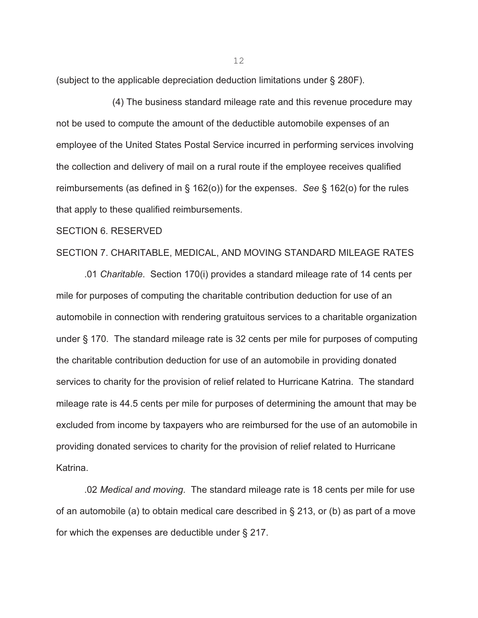(subject to the applicable depreciation deduction limitations under § 280F).

(4) The business standard mileage rate and this revenue procedure may not be used to compute the amount of the deductible automobile expenses of an employee of the United States Postal Service incurred in performing services involving the collection and delivery of mail on a rural route if the employee receives qualified reimbursements (as defined in § 162(o)) for the expenses. *See* § 162(o) for the rules that apply to these qualified reimbursements.

#### SECTION 6. RESERVED

# SECTION 7. CHARITABLE, MEDICAL, AND MOVING STANDARD MILEAGE RATES

.01 *Charitable*. Section 170(i) provides a standard mileage rate of 14 cents per mile for purposes of computing the charitable contribution deduction for use of an automobile in connection with rendering gratuitous services to a charitable organization under § 170. The standard mileage rate is 32 cents per mile for purposes of computing the charitable contribution deduction for use of an automobile in providing donated services to charity for the provision of relief related to Hurricane Katrina. The standard mileage rate is 44.5 cents per mile for purposes of determining the amount that may be excluded from income by taxpayers who are reimbursed for the use of an automobile in providing donated services to charity for the provision of relief related to Hurricane Katrina.

.02 *Medical and moving*. The standard mileage rate is 18 cents per mile for use of an automobile (a) to obtain medical care described in § 213, or (b) as part of a move for which the expenses are deductible under § 217.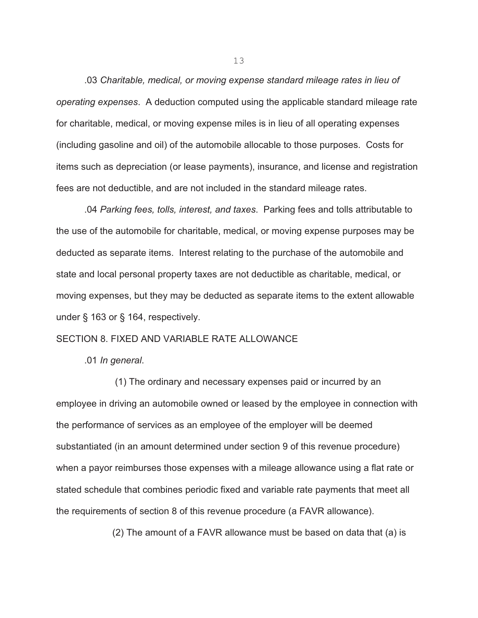.03 *Charitable, medical, or moving expense standard mileage rates in lieu of operating expenses*. A deduction computed using the applicable standard mileage rate for charitable, medical, or moving expense miles is in lieu of all operating expenses (including gasoline and oil) of the automobile allocable to those purposes. Costs for items such as depreciation (or lease payments), insurance, and license and registration fees are not deductible, and are not included in the standard mileage rates.

.04 *Parking fees, tolls, interest, and taxes*. Parking fees and tolls attributable to the use of the automobile for charitable, medical, or moving expense purposes may be deducted as separate items. Interest relating to the purchase of the automobile and state and local personal property taxes are not deductible as charitable, medical, or moving expenses, but they may be deducted as separate items to the extent allowable under § 163 or § 164, respectively.

# SECTION 8. FIXED AND VARIABLE RATE ALLOWANCE

.01 *In general*.

 (1) The ordinary and necessary expenses paid or incurred by an employee in driving an automobile owned or leased by the employee in connection with the performance of services as an employee of the employer will be deemed substantiated (in an amount determined under section 9 of this revenue procedure) when a payor reimburses those expenses with a mileage allowance using a flat rate or stated schedule that combines periodic fixed and variable rate payments that meet all the requirements of section 8 of this revenue procedure (a FAVR allowance).

(2) The amount of a FAVR allowance must be based on data that (a) is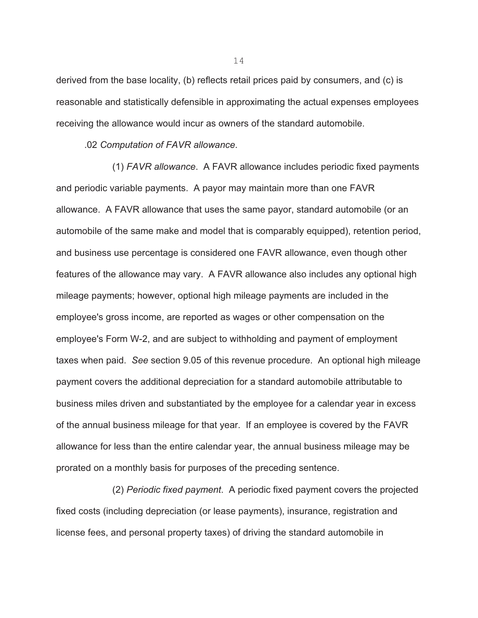derived from the base locality, (b) reflects retail prices paid by consumers, and (c) is reasonable and statistically defensible in approximating the actual expenses employees receiving the allowance would incur as owners of the standard automobile.

.02 *Computation of FAVR allowance*.

(1) *FAVR allowance*. A FAVR allowance includes periodic fixed payments and periodic variable payments. A payor may maintain more than one FAVR allowance. A FAVR allowance that uses the same payor, standard automobile (or an automobile of the same make and model that is comparably equipped), retention period, and business use percentage is considered one FAVR allowance, even though other features of the allowance may vary. A FAVR allowance also includes any optional high mileage payments; however, optional high mileage payments are included in the employee's gross income, are reported as wages or other compensation on the employee's Form W-2, and are subject to withholding and payment of employment taxes when paid. *See* section 9.05 of this revenue procedure. An optional high mileage payment covers the additional depreciation for a standard automobile attributable to business miles driven and substantiated by the employee for a calendar year in excess of the annual business mileage for that year. If an employee is covered by the FAVR allowance for less than the entire calendar year, the annual business mileage may be prorated on a monthly basis for purposes of the preceding sentence.

(2) *Periodic fixed payment*. A periodic fixed payment covers the projected fixed costs (including depreciation (or lease payments), insurance, registration and license fees, and personal property taxes) of driving the standard automobile in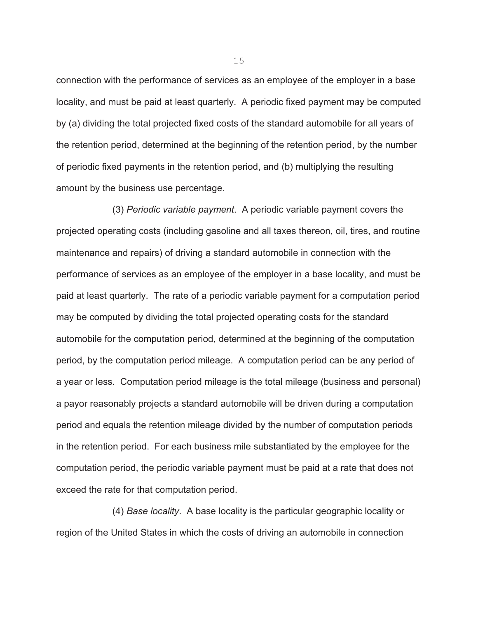connection with the performance of services as an employee of the employer in a base locality, and must be paid at least quarterly. A periodic fixed payment may be computed by (a) dividing the total projected fixed costs of the standard automobile for all years of the retention period, determined at the beginning of the retention period, by the number of periodic fixed payments in the retention period, and (b) multiplying the resulting amount by the business use percentage.

(3) *Periodic variable payment*. A periodic variable payment covers the projected operating costs (including gasoline and all taxes thereon, oil, tires, and routine maintenance and repairs) of driving a standard automobile in connection with the performance of services as an employee of the employer in a base locality, and must be paid at least quarterly. The rate of a periodic variable payment for a computation period may be computed by dividing the total projected operating costs for the standard automobile for the computation period, determined at the beginning of the computation period, by the computation period mileage. A computation period can be any period of a year or less. Computation period mileage is the total mileage (business and personal) a payor reasonably projects a standard automobile will be driven during a computation period and equals the retention mileage divided by the number of computation periods in the retention period. For each business mile substantiated by the employee for the computation period, the periodic variable payment must be paid at a rate that does not exceed the rate for that computation period.

(4) *Base locality*. A base locality is the particular geographic locality or region of the United States in which the costs of driving an automobile in connection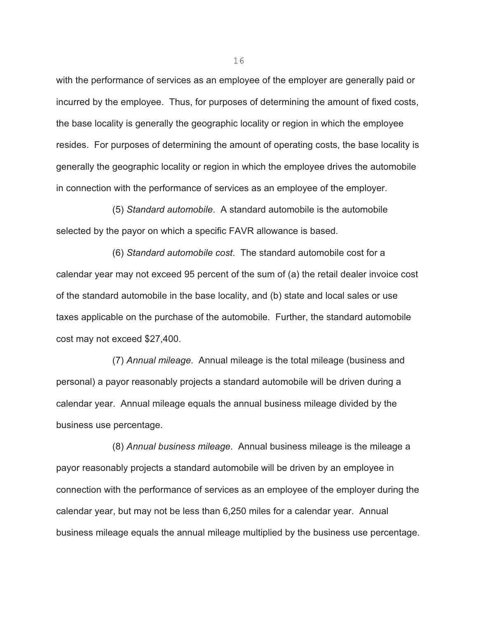with the performance of services as an employee of the employer are generally paid or incurred by the employee. Thus, for purposes of determining the amount of fixed costs, the base locality is generally the geographic locality or region in which the employee resides. For purposes of determining the amount of operating costs, the base locality is generally the geographic locality or region in which the employee drives the automobile in connection with the performance of services as an employee of the employer.

(5) *Standard automobile*. A standard automobile is the automobile selected by the payor on which a specific FAVR allowance is based.

(6) *Standard automobile cost*. The standard automobile cost for a calendar year may not exceed 95 percent of the sum of (a) the retail dealer invoice cost of the standard automobile in the base locality, and (b) state and local sales or use taxes applicable on the purchase of the automobile. Further, the standard automobile cost may not exceed \$27,400.

(7) *Annual mileage*. Annual mileage is the total mileage (business and personal) a payor reasonably projects a standard automobile will be driven during a calendar year. Annual mileage equals the annual business mileage divided by the business use percentage.

(8) *Annual business mileage*. Annual business mileage is the mileage a payor reasonably projects a standard automobile will be driven by an employee in connection with the performance of services as an employee of the employer during the calendar year, but may not be less than 6,250 miles for a calendar year. Annual business mileage equals the annual mileage multiplied by the business use percentage.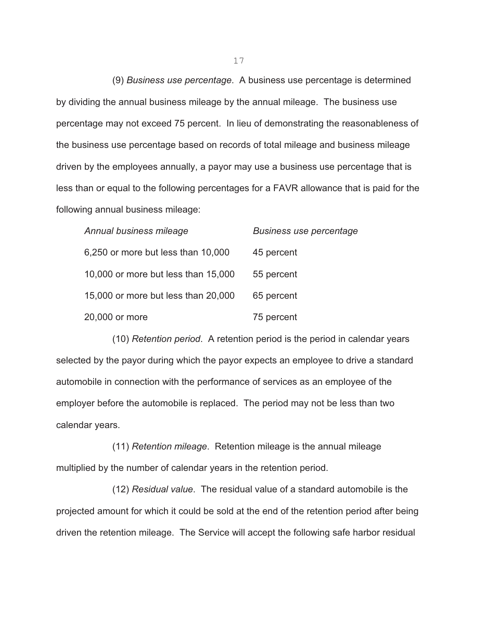(9) *Business use percentage*. A business use percentage is determined by dividing the annual business mileage by the annual mileage. The business use percentage may not exceed 75 percent. In lieu of demonstrating the reasonableness of the business use percentage based on records of total mileage and business mileage driven by the employees annually, a payor may use a business use percentage that is less than or equal to the following percentages for a FAVR allowance that is paid for the following annual business mileage:

| Annual business mileage             | <b>Business use percentage</b> |
|-------------------------------------|--------------------------------|
| 6,250 or more but less than 10,000  | 45 percent                     |
| 10,000 or more but less than 15,000 | 55 percent                     |
| 15,000 or more but less than 20,000 | 65 percent                     |
| 20,000 or more                      | 75 percent                     |

(10) *Retention period*. A retention period is the period in calendar years selected by the payor during which the payor expects an employee to drive a standard automobile in connection with the performance of services as an employee of the employer before the automobile is replaced. The period may not be less than two calendar years.

(11) *Retention mileage*. Retention mileage is the annual mileage multiplied by the number of calendar years in the retention period.

(12) *Residual value*. The residual value of a standard automobile is the projected amount for which it could be sold at the end of the retention period after being driven the retention mileage. The Service will accept the following safe harbor residual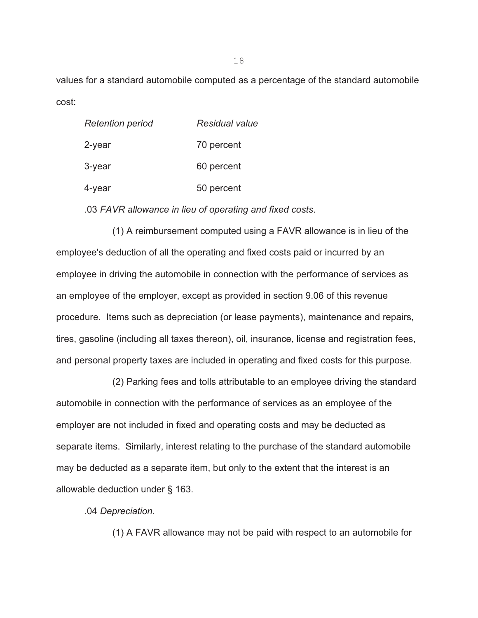values for a standard automobile computed as a percentage of the standard automobile cost:

| <b>Retention period</b> | Residual value |
|-------------------------|----------------|
| 2-year                  | 70 percent     |
| $3$ -year               | 60 percent     |
| 4-year                  | 50 percent     |

.03 *FAVR allowance in lieu of operating and fixed costs*.

(1) A reimbursement computed using a FAVR allowance is in lieu of the employee's deduction of all the operating and fixed costs paid or incurred by an employee in driving the automobile in connection with the performance of services as an employee of the employer, except as provided in section 9.06 of this revenue procedure. Items such as depreciation (or lease payments), maintenance and repairs, tires, gasoline (including all taxes thereon), oil, insurance, license and registration fees, and personal property taxes are included in operating and fixed costs for this purpose.

 (2) Parking fees and tolls attributable to an employee driving the standard automobile in connection with the performance of services as an employee of the employer are not included in fixed and operating costs and may be deducted as separate items. Similarly, interest relating to the purchase of the standard automobile may be deducted as a separate item, but only to the extent that the interest is an allowable deduction under § 163.

.04 *Depreciation*.

(1) A FAVR allowance may not be paid with respect to an automobile for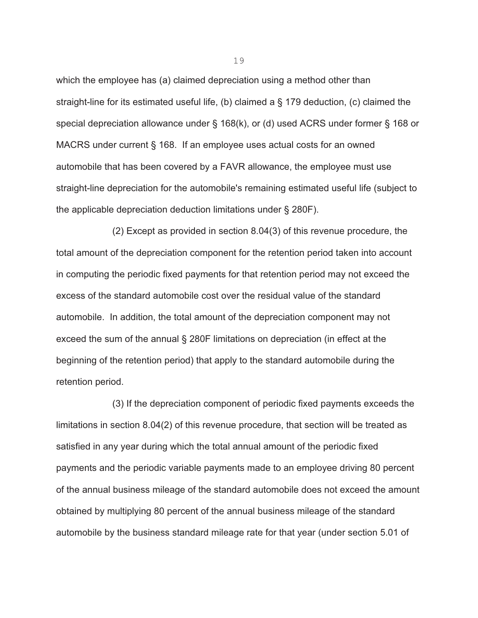which the employee has (a) claimed depreciation using a method other than straight-line for its estimated useful life, (b) claimed a § 179 deduction, (c) claimed the special depreciation allowance under § 168(k), or (d) used ACRS under former § 168 or MACRS under current § 168. If an employee uses actual costs for an owned automobile that has been covered by a FAVR allowance, the employee must use straight-line depreciation for the automobile's remaining estimated useful life (subject to the applicable depreciation deduction limitations under § 280F).

(2) Except as provided in section 8.04(3) of this revenue procedure, the total amount of the depreciation component for the retention period taken into account in computing the periodic fixed payments for that retention period may not exceed the excess of the standard automobile cost over the residual value of the standard automobile. In addition, the total amount of the depreciation component may not exceed the sum of the annual § 280F limitations on depreciation (in effect at the beginning of the retention period) that apply to the standard automobile during the retention period.

(3) If the depreciation component of periodic fixed payments exceeds the limitations in section 8.04(2) of this revenue procedure, that section will be treated as satisfied in any year during which the total annual amount of the periodic fixed payments and the periodic variable payments made to an employee driving 80 percent of the annual business mileage of the standard automobile does not exceed the amount obtained by multiplying 80 percent of the annual business mileage of the standard automobile by the business standard mileage rate for that year (under section 5.01 of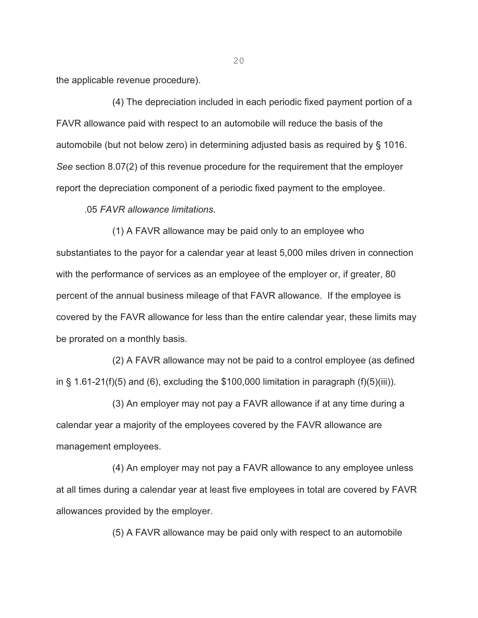the applicable revenue procedure).

(4) The depreciation included in each periodic fixed payment portion of a FAVR allowance paid with respect to an automobile will reduce the basis of the automobile (but not below zero) in determining adjusted basis as required by § 1016. *See* section 8.07(2) of this revenue procedure for the requirement that the employer report the depreciation component of a periodic fixed payment to the employee.

.05 *FAVR allowance limitations*.

(1) A FAVR allowance may be paid only to an employee who substantiates to the payor for a calendar year at least 5,000 miles driven in connection with the performance of services as an employee of the employer or, if greater, 80 percent of the annual business mileage of that FAVR allowance. If the employee is covered by the FAVR allowance for less than the entire calendar year, these limits may be prorated on a monthly basis.

(2) A FAVR allowance may not be paid to a control employee (as defined in § 1.61-21(f)(5) and (6), excluding the \$100,000 limitation in paragraph (f)(5)(iii)).

(3) An employer may not pay a FAVR allowance if at any time during a calendar year a majority of the employees covered by the FAVR allowance are management employees.

(4) An employer may not pay a FAVR allowance to any employee unless at all times during a calendar year at least five employees in total are covered by FAVR allowances provided by the employer.

(5) A FAVR allowance may be paid only with respect to an automobile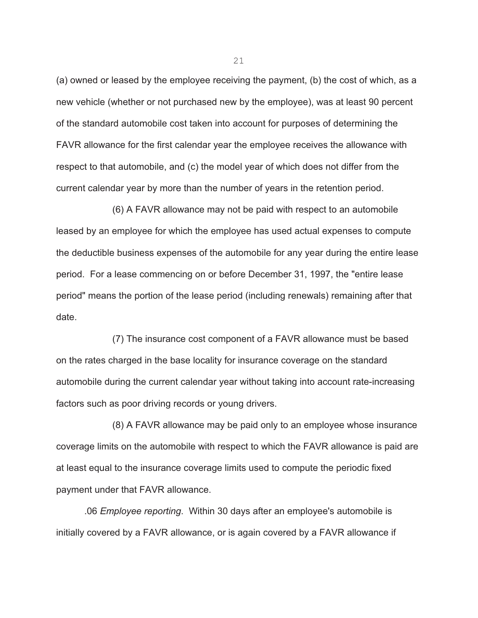(a) owned or leased by the employee receiving the payment, (b) the cost of which, as a new vehicle (whether or not purchased new by the employee), was at least 90 percent of the standard automobile cost taken into account for purposes of determining the FAVR allowance for the first calendar year the employee receives the allowance with respect to that automobile, and (c) the model year of which does not differ from the current calendar year by more than the number of years in the retention period.

(6) A FAVR allowance may not be paid with respect to an automobile leased by an employee for which the employee has used actual expenses to compute the deductible business expenses of the automobile for any year during the entire lease period. For a lease commencing on or before December 31, 1997, the "entire lease period" means the portion of the lease period (including renewals) remaining after that date.

(7) The insurance cost component of a FAVR allowance must be based on the rates charged in the base locality for insurance coverage on the standard automobile during the current calendar year without taking into account rate-increasing factors such as poor driving records or young drivers.

(8) A FAVR allowance may be paid only to an employee whose insurance coverage limits on the automobile with respect to which the FAVR allowance is paid are at least equal to the insurance coverage limits used to compute the periodic fixed payment under that FAVR allowance.

 .06 *Employee reporting*. Within 30 days after an employee's automobile is initially covered by a FAVR allowance, or is again covered by a FAVR allowance if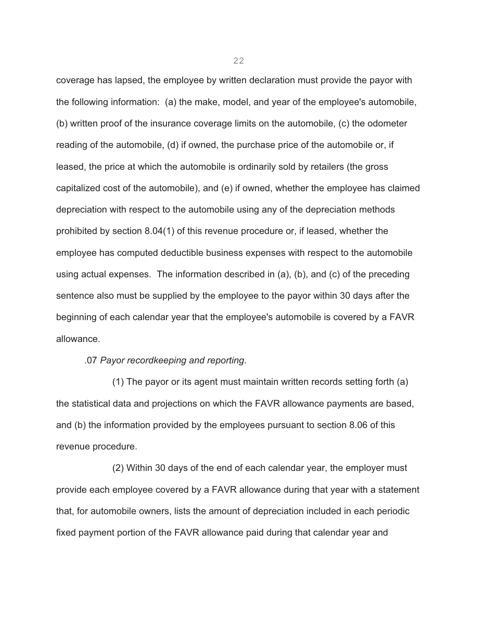coverage has lapsed, the employee by written declaration must provide the payor with the following information: (a) the make, model, and year of the employee's automobile, (b) written proof of the insurance coverage limits on the automobile, (c) the odometer reading of the automobile, (d) if owned, the purchase price of the automobile or, if leased, the price at which the automobile is ordinarily sold by retailers (the gross capitalized cost of the automobile), and (e) if owned, whether the employee has claimed depreciation with respect to the automobile using any of the depreciation methods prohibited by section 8.04(1) of this revenue procedure or, if leased, whether the employee has computed deductible business expenses with respect to the automobile using actual expenses. The information described in (a), (b), and (c) of the preceding sentence also must be supplied by the employee to the payor within 30 days after the beginning of each calendar year that the employee's automobile is covered by a FAVR allowance.

.07 *Payor recordkeeping and reporting*.

(1) The payor or its agent must maintain written records setting forth (a) the statistical data and projections on which the FAVR allowance payments are based, and (b) the information provided by the employees pursuant to section 8.06 of this revenue procedure.

(2) Within 30 days of the end of each calendar year, the employer must provide each employee covered by a FAVR allowance during that year with a statement that, for automobile owners, lists the amount of depreciation included in each periodic fixed payment portion of the FAVR allowance paid during that calendar year and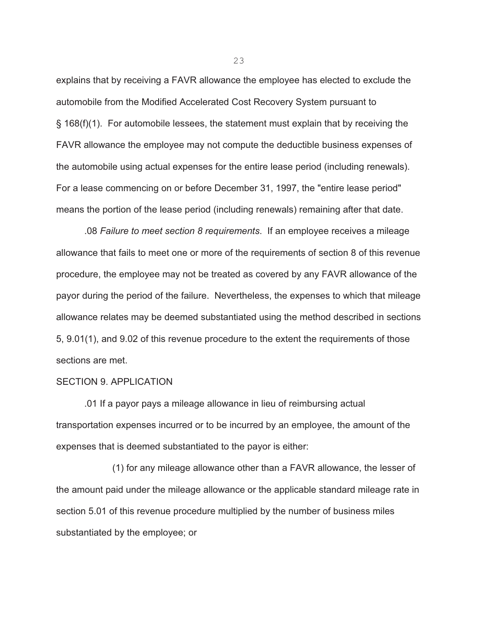explains that by receiving a FAVR allowance the employee has elected to exclude the automobile from the Modified Accelerated Cost Recovery System pursuant to § 168(f)(1). For automobile lessees, the statement must explain that by receiving the FAVR allowance the employee may not compute the deductible business expenses of the automobile using actual expenses for the entire lease period (including renewals). For a lease commencing on or before December 31, 1997, the "entire lease period" means the portion of the lease period (including renewals) remaining after that date.

.08 *Failure to meet section 8 requirements*. If an employee receives a mileage allowance that fails to meet one or more of the requirements of section 8 of this revenue procedure, the employee may not be treated as covered by any FAVR allowance of the payor during the period of the failure. Nevertheless, the expenses to which that mileage allowance relates may be deemed substantiated using the method described in sections 5, 9.01(1), and 9.02 of this revenue procedure to the extent the requirements of those sections are met.

### SECTION 9. APPLICATION

.01 If a payor pays a mileage allowance in lieu of reimbursing actual transportation expenses incurred or to be incurred by an employee, the amount of the expenses that is deemed substantiated to the payor is either:

(1) for any mileage allowance other than a FAVR allowance, the lesser of the amount paid under the mileage allowance or the applicable standard mileage rate in section 5.01 of this revenue procedure multiplied by the number of business miles substantiated by the employee; or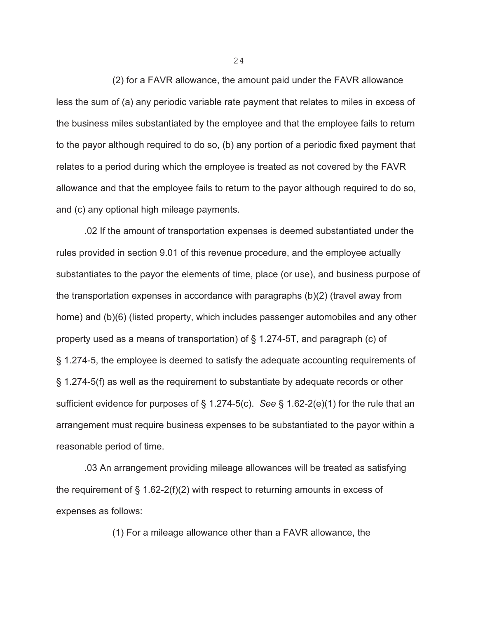(2) for a FAVR allowance, the amount paid under the FAVR allowance less the sum of (a) any periodic variable rate payment that relates to miles in excess of the business miles substantiated by the employee and that the employee fails to return to the payor although required to do so, (b) any portion of a periodic fixed payment that relates to a period during which the employee is treated as not covered by the FAVR allowance and that the employee fails to return to the payor although required to do so, and (c) any optional high mileage payments.

.02 If the amount of transportation expenses is deemed substantiated under the rules provided in section 9.01 of this revenue procedure, and the employee actually substantiates to the payor the elements of time, place (or use), and business purpose of the transportation expenses in accordance with paragraphs (b)(2) (travel away from home) and (b)(6) (listed property, which includes passenger automobiles and any other property used as a means of transportation) of § 1.274-5T, and paragraph (c) of § 1.274-5, the employee is deemed to satisfy the adequate accounting requirements of § 1.274-5(f) as well as the requirement to substantiate by adequate records or other sufficient evidence for purposes of § 1.274-5(c). *See* § 1.62-2(e)(1) for the rule that an arrangement must require business expenses to be substantiated to the payor within a reasonable period of time.

.03 An arrangement providing mileage allowances will be treated as satisfying the requirement of § 1.62-2(f)(2) with respect to returning amounts in excess of expenses as follows:

(1) For a mileage allowance other than a FAVR allowance, the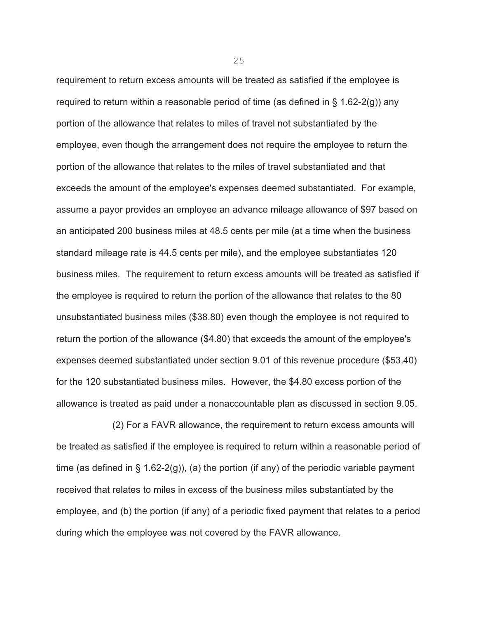requirement to return excess amounts will be treated as satisfied if the employee is required to return within a reasonable period of time (as defined in § 1.62-2(g)) any portion of the allowance that relates to miles of travel not substantiated by the employee, even though the arrangement does not require the employee to return the portion of the allowance that relates to the miles of travel substantiated and that exceeds the amount of the employee's expenses deemed substantiated. For example, assume a payor provides an employee an advance mileage allowance of \$97 based on an anticipated 200 business miles at 48.5 cents per mile (at a time when the business standard mileage rate is 44.5 cents per mile), and the employee substantiates 120 business miles. The requirement to return excess amounts will be treated as satisfied if the employee is required to return the portion of the allowance that relates to the 80 unsubstantiated business miles (\$38.80) even though the employee is not required to return the portion of the allowance (\$4.80) that exceeds the amount of the employee's expenses deemed substantiated under section 9.01 of this revenue procedure (\$53.40) for the 120 substantiated business miles. However, the \$4.80 excess portion of the allowance is treated as paid under a nonaccountable plan as discussed in section 9.05.

(2) For a FAVR allowance, the requirement to return excess amounts will be treated as satisfied if the employee is required to return within a reasonable period of time (as defined in  $\S$  1.62-2(g)), (a) the portion (if any) of the periodic variable payment received that relates to miles in excess of the business miles substantiated by the employee, and (b) the portion (if any) of a periodic fixed payment that relates to a period during which the employee was not covered by the FAVR allowance.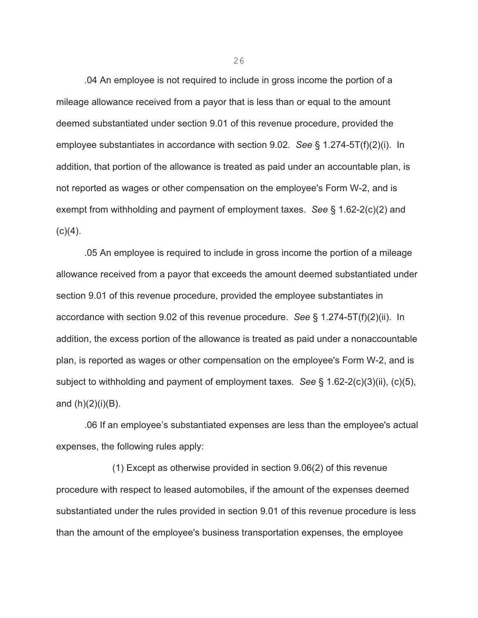.04 An employee is not required to include in gross income the portion of a mileage allowance received from a payor that is less than or equal to the amount deemed substantiated under section 9.01 of this revenue procedure, provided the employee substantiates in accordance with section 9.02. *See* § 1.274-5T(f)(2)(i). In addition, that portion of the allowance is treated as paid under an accountable plan, is not reported as wages or other compensation on the employee's Form W-2, and is exempt from withholding and payment of employment taxes. *See* § 1.62-2(c)(2) and  $(c)(4)$ .

.05 An employee is required to include in gross income the portion of a mileage allowance received from a payor that exceeds the amount deemed substantiated under section 9.01 of this revenue procedure, provided the employee substantiates in accordance with section 9.02 of this revenue procedure. *See* § 1.274-5T(f)(2)(ii). In addition, the excess portion of the allowance is treated as paid under a nonaccountable plan, is reported as wages or other compensation on the employee's Form W-2, and is subject to withholding and payment of employment taxes. *See* § 1.62-2(c)(3)(ii), (c)(5), and  $(h)(2)(i)(B)$ .

.06 If an employee's substantiated expenses are less than the employee's actual expenses, the following rules apply:

(1) Except as otherwise provided in section 9.06(2) of this revenue procedure with respect to leased automobiles, if the amount of the expenses deemed substantiated under the rules provided in section 9.01 of this revenue procedure is less than the amount of the employee's business transportation expenses, the employee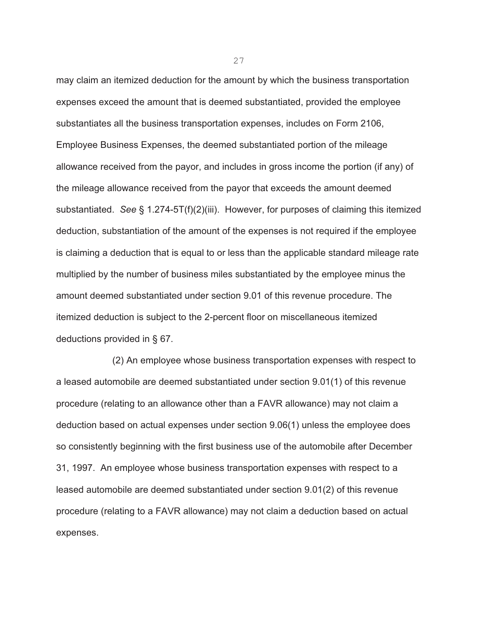may claim an itemized deduction for the amount by which the business transportation expenses exceed the amount that is deemed substantiated, provided the employee substantiates all the business transportation expenses, includes on Form 2106, Employee Business Expenses, the deemed substantiated portion of the mileage allowance received from the payor, and includes in gross income the portion (if any) of the mileage allowance received from the payor that exceeds the amount deemed substantiated. *See* § 1.274-5T(f)(2)(iii). However, for purposes of claiming this itemized deduction, substantiation of the amount of the expenses is not required if the employee is claiming a deduction that is equal to or less than the applicable standard mileage rate multiplied by the number of business miles substantiated by the employee minus the amount deemed substantiated under section 9.01 of this revenue procedure. The itemized deduction is subject to the 2-percent floor on miscellaneous itemized deductions provided in § 67.

(2) An employee whose business transportation expenses with respect to a leased automobile are deemed substantiated under section 9.01(1) of this revenue procedure (relating to an allowance other than a FAVR allowance) may not claim a deduction based on actual expenses under section 9.06(1) unless the employee does so consistently beginning with the first business use of the automobile after December 31, 1997. An employee whose business transportation expenses with respect to a leased automobile are deemed substantiated under section 9.01(2) of this revenue procedure (relating to a FAVR allowance) may not claim a deduction based on actual expenses.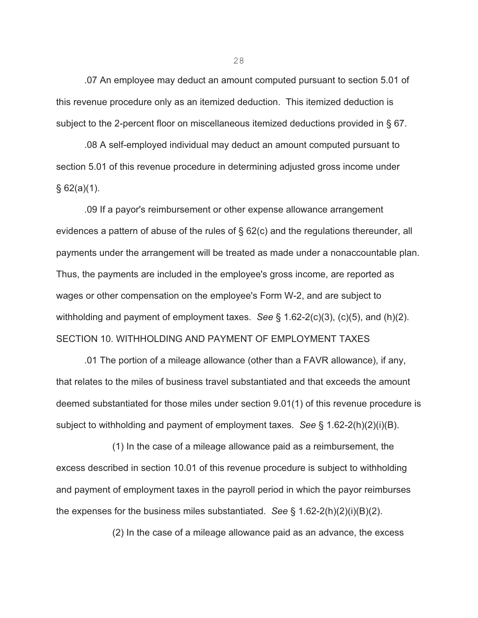.07 An employee may deduct an amount computed pursuant to section 5.01 of this revenue procedure only as an itemized deduction. This itemized deduction is subject to the 2-percent floor on miscellaneous itemized deductions provided in § 67.

.08 A self-employed individual may deduct an amount computed pursuant to section 5.01 of this revenue procedure in determining adjusted gross income under  $§ 62(a)(1).$ 

.09 If a payor's reimbursement or other expense allowance arrangement evidences a pattern of abuse of the rules of § 62(c) and the regulations thereunder, all payments under the arrangement will be treated as made under a nonaccountable plan. Thus, the payments are included in the employee's gross income, are reported as wages or other compensation on the employee's Form W-2, and are subject to withholding and payment of employment taxes. *See* § 1.62-2(c)(3), (c)(5), and (h)(2). SECTION 10. WITHHOLDING AND PAYMENT OF EMPLOYMENT TAXES

.01 The portion of a mileage allowance (other than a FAVR allowance), if any, that relates to the miles of business travel substantiated and that exceeds the amount deemed substantiated for those miles under section 9.01(1) of this revenue procedure is subject to withholding and payment of employment taxes. *See* § 1.62-2(h)(2)(i)(B).

(1) In the case of a mileage allowance paid as a reimbursement, the excess described in section 10.01 of this revenue procedure is subject to withholding and payment of employment taxes in the payroll period in which the payor reimburses the expenses for the business miles substantiated. *See* § 1.62-2(h)(2)(i)(B)(2).

(2) In the case of a mileage allowance paid as an advance, the excess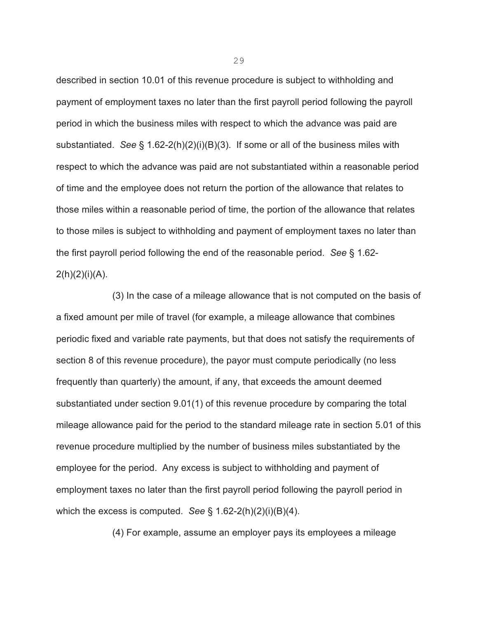described in section 10.01 of this revenue procedure is subject to withholding and payment of employment taxes no later than the first payroll period following the payroll period in which the business miles with respect to which the advance was paid are substantiated. *See* § 1.62-2(h)(2)(i)(B)(3). If some or all of the business miles with respect to which the advance was paid are not substantiated within a reasonable period of time and the employee does not return the portion of the allowance that relates to those miles within a reasonable period of time, the portion of the allowance that relates to those miles is subject to withholding and payment of employment taxes no later than the first payroll period following the end of the reasonable period. *See* § 1.62-  $2(h)(2)(i)(A)$ .

(3) In the case of a mileage allowance that is not computed on the basis of a fixed amount per mile of travel (for example, a mileage allowance that combines periodic fixed and variable rate payments, but that does not satisfy the requirements of section 8 of this revenue procedure), the payor must compute periodically (no less frequently than quarterly) the amount, if any, that exceeds the amount deemed substantiated under section 9.01(1) of this revenue procedure by comparing the total mileage allowance paid for the period to the standard mileage rate in section 5.01 of this revenue procedure multiplied by the number of business miles substantiated by the employee for the period. Any excess is subject to withholding and payment of employment taxes no later than the first payroll period following the payroll period in which the excess is computed. *See* § 1.62-2(h)(2)(i)(B)(4).

(4) For example, assume an employer pays its employees a mileage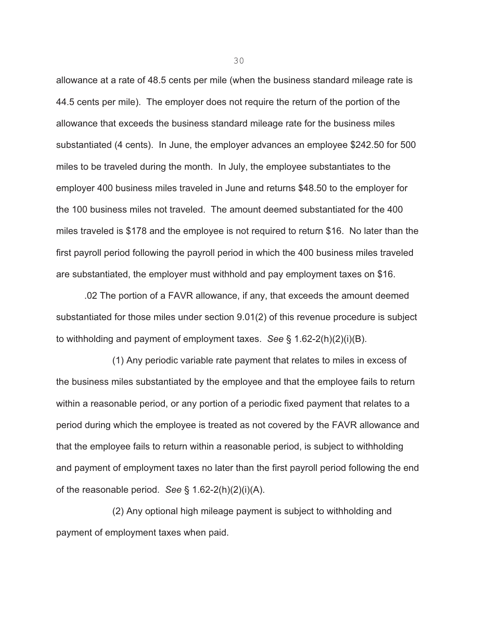allowance at a rate of 48.5 cents per mile (when the business standard mileage rate is 44.5 cents per mile). The employer does not require the return of the portion of the allowance that exceeds the business standard mileage rate for the business miles substantiated (4 cents). In June, the employer advances an employee \$242.50 for 500 miles to be traveled during the month. In July, the employee substantiates to the employer 400 business miles traveled in June and returns \$48.50 to the employer for the 100 business miles not traveled. The amount deemed substantiated for the 400 miles traveled is \$178 and the employee is not required to return \$16. No later than the first payroll period following the payroll period in which the 400 business miles traveled are substantiated, the employer must withhold and pay employment taxes on \$16.

.02 The portion of a FAVR allowance, if any, that exceeds the amount deemed substantiated for those miles under section 9.01(2) of this revenue procedure is subject to withholding and payment of employment taxes. *See* § 1.62-2(h)(2)(i)(B).

(1) Any periodic variable rate payment that relates to miles in excess of the business miles substantiated by the employee and that the employee fails to return within a reasonable period, or any portion of a periodic fixed payment that relates to a period during which the employee is treated as not covered by the FAVR allowance and that the employee fails to return within a reasonable period, is subject to withholding and payment of employment taxes no later than the first payroll period following the end of the reasonable period. *See* § 1.62-2(h)(2)(i)(A).

(2) Any optional high mileage payment is subject to withholding and payment of employment taxes when paid.